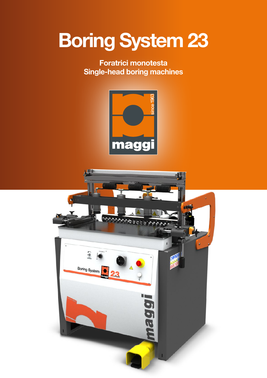# Boring System 23

### Foratrici monotesta Single-head boring machines